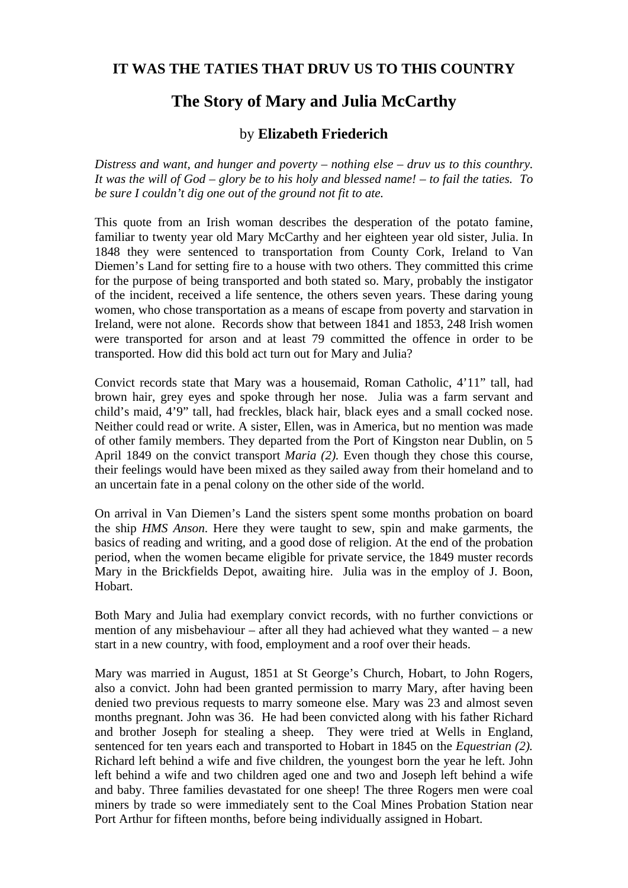## **IT WAS THE TATIES THAT DRUV US TO THIS COUNTRY**

## **The Story of Mary and Julia McCarthy**

## by **Elizabeth Friederich**

*Distress and want, and hunger and poverty – nothing else – druv us to this counthry. It was the will of God – glory be to his holy and blessed name! – to fail the taties. To be sure I couldn't dig one out of the ground not fit to ate.* 

This quote from an Irish woman describes the desperation of the potato famine, familiar to twenty year old Mary McCarthy and her eighteen year old sister, Julia. In 1848 they were sentenced to transportation from County Cork, Ireland to Van Diemen's Land for setting fire to a house with two others. They committed this crime for the purpose of being transported and both stated so. Mary, probably the instigator of the incident, received a life sentence, the others seven years. These daring young women, who chose transportation as a means of escape from poverty and starvation in Ireland, were not alone. Records show that between 1841 and 1853, 248 Irish women were transported for arson and at least 79 committed the offence in order to be transported. How did this bold act turn out for Mary and Julia?

Convict records state that Mary was a housemaid, Roman Catholic, 4'11" tall, had brown hair, grey eyes and spoke through her nose. Julia was a farm servant and child's maid, 4'9" tall, had freckles, black hair, black eyes and a small cocked nose. Neither could read or write. A sister, Ellen, was in America, but no mention was made of other family members. They departed from the Port of Kingston near Dublin, on 5 April 1849 on the convict transport *Maria (2).* Even though they chose this course, their feelings would have been mixed as they sailed away from their homeland and to an uncertain fate in a penal colony on the other side of the world.

On arrival in Van Diemen's Land the sisters spent some months probation on board the ship *HMS Anson*. Here they were taught to sew, spin and make garments, the basics of reading and writing, and a good dose of religion. At the end of the probation period, when the women became eligible for private service, the 1849 muster records Mary in the Brickfields Depot, awaiting hire. Julia was in the employ of J. Boon, Hobart.

Both Mary and Julia had exemplary convict records, with no further convictions or mention of any misbehaviour – after all they had achieved what they wanted *–* a new start in a new country, with food, employment and a roof over their heads.

Mary was married in August, 1851 at St George's Church, Hobart, to John Rogers, also a convict. John had been granted permission to marry Mary, after having been denied two previous requests to marry someone else. Mary was 23 and almost seven months pregnant. John was 36. He had been convicted along with his father Richard and brother Joseph for stealing a sheep. They were tried at Wells in England, sentenced for ten years each and transported to Hobart in 1845 on the *Equestrian (2).* Richard left behind a wife and five children, the youngest born the year he left. John left behind a wife and two children aged one and two and Joseph left behind a wife and baby. Three families devastated for one sheep! The three Rogers men were coal miners by trade so were immediately sent to the Coal Mines Probation Station near Port Arthur for fifteen months, before being individually assigned in Hobart.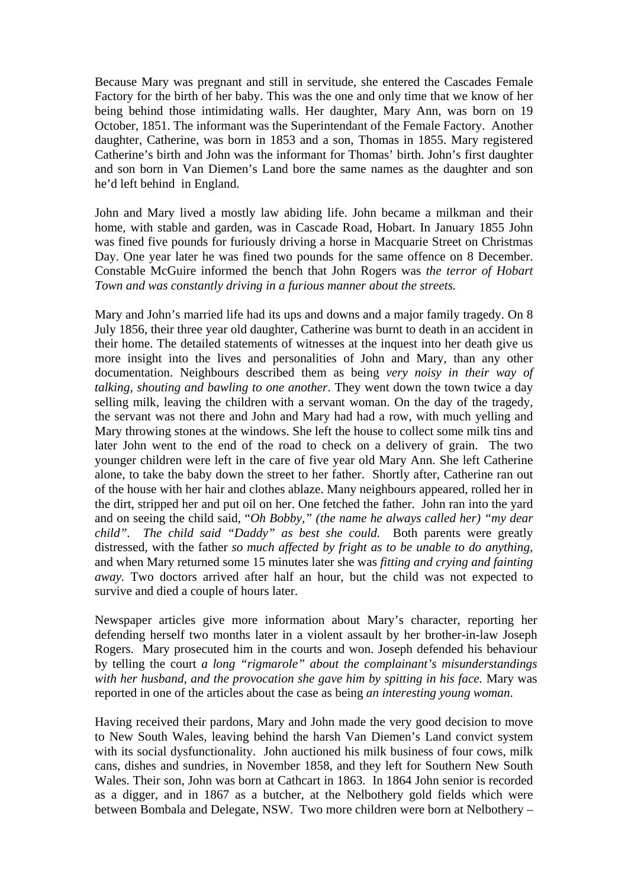Because Mary was pregnant and still in servitude, she entered the Cascades Female Factory for the birth of her baby. This was the one and only time that we know of her being behind those intimidating walls. Her daughter, Mary Ann, was born on 19 October, 1851. The informant was the Superintendant of the Female Factory. Another daughter, Catherine, was born in 1853 and a son, Thomas in 1855. Mary registered Catherine's birth and John was the informant for Thomas' birth. John's first daughter and son born in Van Diemen's Land bore the same names as the daughter and son he'd left behind in England.

John and Mary lived a mostly law abiding life. John became a milkman and their home, with stable and garden, was in Cascade Road, Hobart. In January 1855 John was fined five pounds for furiously driving a horse in Macquarie Street on Christmas Day. One year later he was fined two pounds for the same offence on 8 December. Constable McGuire informed the bench that John Rogers was *the terror of Hobart Town and was constantly driving in a furious manner about the streets.* 

Mary and John's married life had its ups and downs and a major family tragedy. On 8 July 1856, their three year old daughter, Catherine was burnt to death in an accident in their home. The detailed statements of witnesses at the inquest into her death give us more insight into the lives and personalities of John and Mary, than any other documentation. Neighbours described them as being *very noisy in their way of talking, shouting and bawling to one another*. They went down the town twice a day selling milk, leaving the children with a servant woman. On the day of the tragedy, the servant was not there and John and Mary had had a row, with much yelling and Mary throwing stones at the windows. She left the house to collect some milk tins and later John went to the end of the road to check on a delivery of grain. The two younger children were left in the care of five year old Mary Ann. She left Catherine alone, to take the baby down the street to her father. Shortly after, Catherine ran out of the house with her hair and clothes ablaze. Many neighbours appeared, rolled her in the dirt, stripped her and put oil on her. One fetched the father. John ran into the yard and on seeing the child said, "*Oh Bobby," (the name he always called her) "my dear child". The child said "Daddy" as best she could.* Both parents were greatly distressed, with the father *so much affected by fright as to be unable to do anything,*  and when Mary returned some 15 minutes later she was *fitting and crying and fainting away.* Two doctors arrived after half an hour, but the child was not expected to survive and died a couple of hours later.

Newspaper articles give more information about Mary's character, reporting her defending herself two months later in a violent assault by her brother-in-law Joseph Rogers. Mary prosecuted him in the courts and won. Joseph defended his behaviour by telling the court *a long "rigmarole" about the complainant's misunderstandings with her husband, and the provocation she gave him by spitting in his face.* Mary was reported in one of the articles about the case as being *an interesting young woman*.

Having received their pardons, Mary and John made the very good decision to move to New South Wales, leaving behind the harsh Van Diemen's Land convict system with its social dysfunctionality. John auctioned his milk business of four cows, milk cans, dishes and sundries, in November 1858, and they left for Southern New South Wales. Their son, John was born at Cathcart in 1863. In 1864 John senior is recorded as a digger, and in 1867 as a butcher, at the Nelbothery gold fields which were between Bombala and Delegate, NSW. Two more children were born at Nelbothery –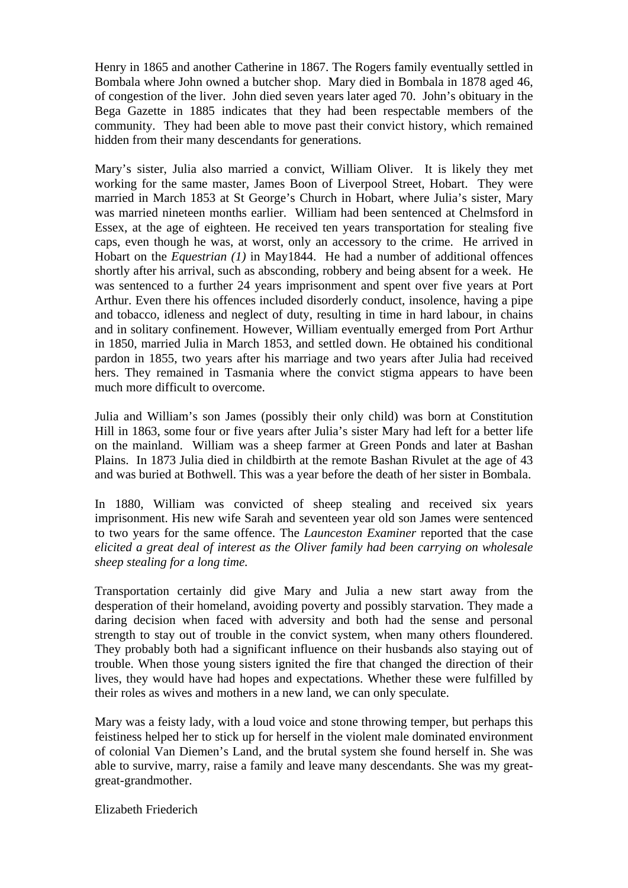Henry in 1865 and another Catherine in 1867. The Rogers family eventually settled in Bombala where John owned a butcher shop. Mary died in Bombala in 1878 aged 46, of congestion of the liver. John died seven years later aged 70. John's obituary in the Bega Gazette in 1885 indicates that they had been respectable members of the community. They had been able to move past their convict history, which remained hidden from their many descendants for generations.

Mary's sister, Julia also married a convict, William Oliver. It is likely they met working for the same master, James Boon of Liverpool Street, Hobart. They were married in March 1853 at St George's Church in Hobart, where Julia's sister, Mary was married nineteen months earlier. William had been sentenced at Chelmsford in Essex, at the age of eighteen. He received ten years transportation for stealing five caps, even though he was, at worst, only an accessory to the crime. He arrived in Hobart on the *Equestrian (1)* in May1844. He had a number of additional offences shortly after his arrival, such as absconding, robbery and being absent for a week. He was sentenced to a further 24 years imprisonment and spent over five years at Port Arthur. Even there his offences included disorderly conduct, insolence, having a pipe and tobacco, idleness and neglect of duty, resulting in time in hard labour, in chains and in solitary confinement. However, William eventually emerged from Port Arthur in 1850, married Julia in March 1853, and settled down. He obtained his conditional pardon in 1855, two years after his marriage and two years after Julia had received hers. They remained in Tasmania where the convict stigma appears to have been much more difficult to overcome.

Julia and William's son James (possibly their only child) was born at Constitution Hill in 1863, some four or five years after Julia's sister Mary had left for a better life on the mainland. William was a sheep farmer at Green Ponds and later at Bashan Plains. In 1873 Julia died in childbirth at the remote Bashan Rivulet at the age of 43 and was buried at Bothwell. This was a year before the death of her sister in Bombala.

In 1880, William was convicted of sheep stealing and received six years imprisonment. His new wife Sarah and seventeen year old son James were sentenced to two years for the same offence. The *Launceston Examiner* reported that the case *elicited a great deal of interest as the Oliver family had been carrying on wholesale sheep stealing for a long time.* 

Transportation certainly did give Mary and Julia a new start away from the desperation of their homeland, avoiding poverty and possibly starvation. They made a daring decision when faced with adversity and both had the sense and personal strength to stay out of trouble in the convict system, when many others floundered. They probably both had a significant influence on their husbands also staying out of trouble. When those young sisters ignited the fire that changed the direction of their lives, they would have had hopes and expectations. Whether these were fulfilled by their roles as wives and mothers in a new land, we can only speculate.

Mary was a feisty lady, with a loud voice and stone throwing temper, but perhaps this feistiness helped her to stick up for herself in the violent male dominated environment of colonial Van Diemen's Land, and the brutal system she found herself in. She was able to survive, marry, raise a family and leave many descendants. She was my greatgreat-grandmother.

Elizabeth Friederich